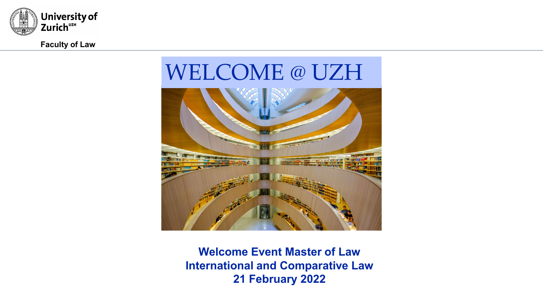

**Faculty of Law**

# WELCOME @ UZH



**Welcome Event Master of Law International and Comparative Law 21 February 2022**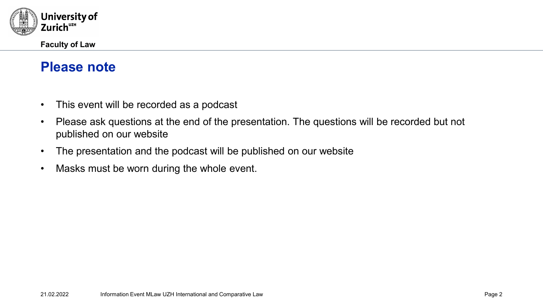

# **Please note**

- This event will be recorded as a podcast
- Please ask questions at the end of the presentation. The questions will be recorded but not published on our website
- The presentation and the podcast will be published on our website
- Masks must be worn during the whole event.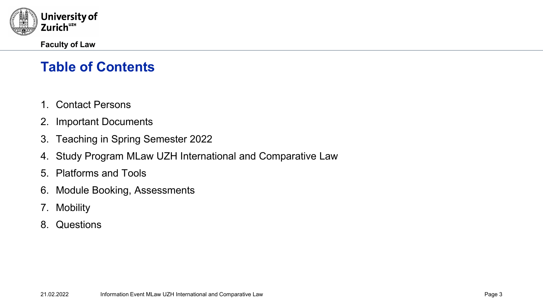

# **Table of Contents**

- 1. Contact Persons
- 2. Important Documents
- 3. Teaching in Spring Semester 2022
- 4. Study Program MLaw UZH International and Comparative Law
- 5. Platforms and Tools
- 6. Module Booking, Assessments
- 7. Mobility
- 8. Questions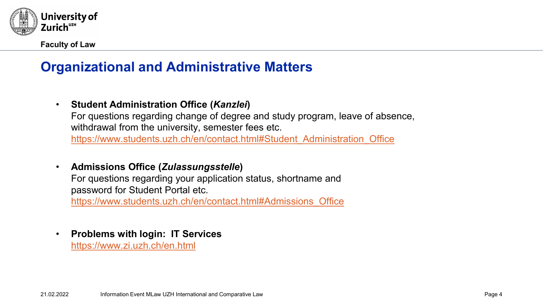

# **Organizational and Administrative Matters**

• **Student Administration Office (***Kanzlei***)**

For questions regarding change of degree and study program, leave of absence, withdrawal from the university, semester fees etc.

[https://www.students.uzh.ch/en/contact.html#Student\\_Administration\\_Office](https://www.students.uzh.ch/en/contact.html#Student_Administration_Office)

• **Admissions Office (***Zulassungsstelle***)**

For questions regarding your application status, shortname and password for Student Portal etc.

[https://www.students.uzh.ch/en/contact.html#Admissions\\_Office](https://www.students.uzh.ch/en/contact.html#Admissions_Office)

• **Problems with login: IT Services** <https://www.zi.uzh.ch/en.html>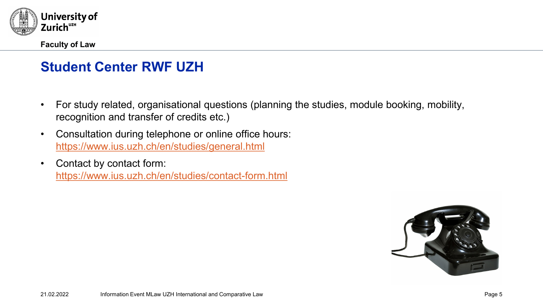

# **Student Center RWF UZH**

- For study related, organisational questions (planning the studies, module booking, mobility, recognition and transfer of credits etc.)
- Consultation during telephone or online office hours: <https://www.ius.uzh.ch/en/studies/general.html>
- Contact by contact form: <https://www.ius.uzh.ch/en/studies/contact-form.html>

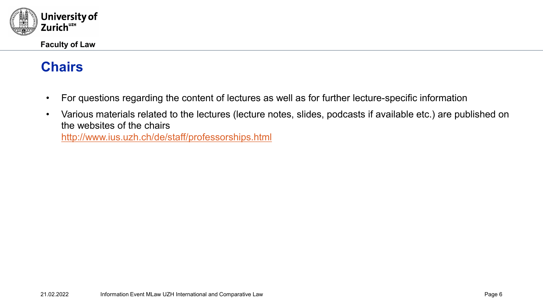

#### **Chairs**

- For questions regarding the content of lectures as well as for further lecture-specific information
- Various materials related to the lectures (lecture notes, slides, podcasts if available etc.) are published on the websites of the chairs

<http://www.ius.uzh.ch/de/staff/professorships.html>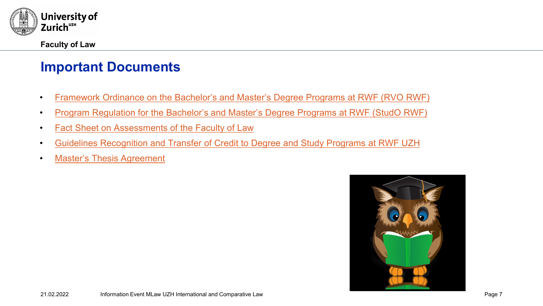

#### **Important Documents**

- [Framework Ordinance](https://www.ius.uzh.ch/dam/jcr:f4b8d4f2-513a-490b-80e5-1355f5b66e09/4.1.1%20RVO%20RWF%20engl%20-%20Stand%201.%20August%202021.pdf) on the Bachelor's and Master's Degree Programs at RWF (RVO RWF)
- [Program Regulation for](https://www.ius.uzh.ch/dam/jcr:d6fdc1c7-0d79-466d-9b45-3ed6b4cd732c/4.1.2%20StudO%20RWF_en.pdf) the Bachelor's and Master's Degree Programs at RWF (StudO RWF)
- [Fact Sheet on Assessments of](https://www.ius.uzh.ch/dam/jcr:995bb012-cfbf-450b-924b-5c9a86462aa9/4.1.3%20Merkblatt%20Leistungsnachweise_engl.pdf) the Faculty of Law
- [Guidelines Recognition and](https://www.ius.uzh.ch/dam/jcr:64f82596-0630-4751-8305-28ef314ee814/4.1.8%20RLA%20RWF%20UZH%20engl%20-%20Stand%201.%20August%202021.pdf) Transfer of Credit to Degree and Study Programs at RWF UZH
- [Master's Thesis Agreement](https://www.ius.uzh.ch/dam/jcr:d667d230-c01a-4187-8f3c-5689c5746e54/ma_vereinbarung_engl.pdf)

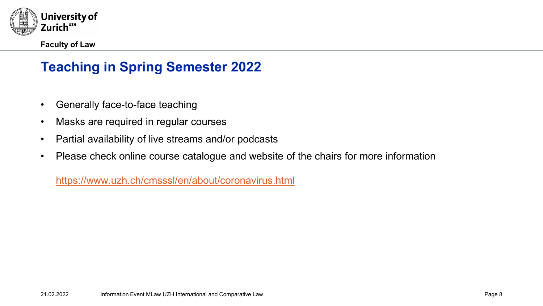

# **Teaching in Spring Semester 2022**

- Generally face-to-face teaching
- Masks are required in regular courses
- Partial availability of live streams and/or podcasts
- Please check online course catalogue and website of the chairs for more information

<https://www.uzh.ch/cmsssl/en/about/coronavirus.html>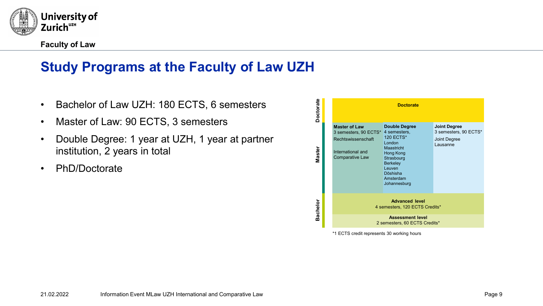

# **Study Programs at the Faculty of Law UZH**

- Bachelor of Law UZH: 180 ECTS, 6 semesters
- Master of Law: 90 ECTS, 3 semesters
- Double Degree: 1 year at UZH, 1 year at partner institution, 2 years in total
- PhD/Doctorate



\*1 ECTS credit represents 30 working hours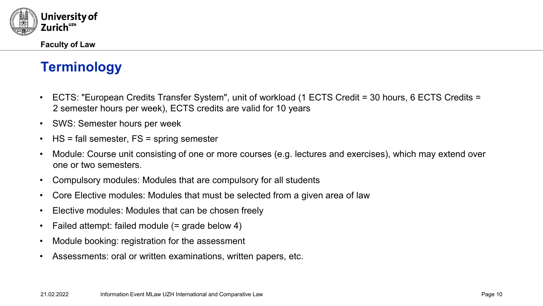

# **Terminology**

- ECTS: "European Credits Transfer System", unit of workload (1 ECTS Credit = 30 hours, 6 ECTS Credits = 2 semester hours per week), ECTS credits are valid for 10 years
- SWS: Semester hours per week
- HS = fall semester, FS = spring semester
- Module: Course unit consisting of one or more courses (e.g. lectures and exercises), which may extend over one or two semesters.
- Compulsory modules: Modules that are compulsory for all students
- Core Elective modules: Modules that must be selected from a given area of law
- Elective modules: Modules that can be chosen freely
- Failed attempt: failed module (= grade below 4)
- Module booking: registration for the assessment
- Assessments: oral or written examinations, written papers, etc.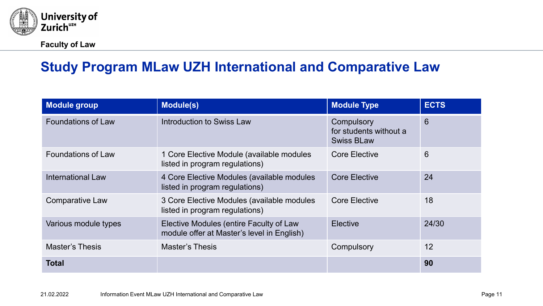

# **Study Program MLaw UZH International and Comparative Law**

| <b>Module group</b>       | <b>Module(s)</b>                                                                      | <b>Module Type</b>                                        | <b>ECTS</b> |
|---------------------------|---------------------------------------------------------------------------------------|-----------------------------------------------------------|-------------|
| <b>Foundations of Law</b> | Introduction to Swiss Law                                                             | Compulsory<br>for students without a<br><b>Swiss BLaw</b> | 6           |
| <b>Foundations of Law</b> | 1 Core Elective Module (available modules<br>listed in program regulations)           | <b>Core Elective</b>                                      | 6           |
| <b>International Law</b>  | 4 Core Elective Modules (available modules<br>listed in program regulations)          | <b>Core Elective</b>                                      | 24          |
| <b>Comparative Law</b>    | 3 Core Elective Modules (available modules<br>listed in program regulations)          | <b>Core Elective</b>                                      | 18          |
| Various module types      | Elective Modules (entire Faculty of Law<br>module offer at Master's level in English) | <b>Elective</b>                                           | 24/30       |
| <b>Master's Thesis</b>    | <b>Master's Thesis</b>                                                                | Compulsory                                                | 12          |
| <b>Total</b>              |                                                                                       |                                                           | 90          |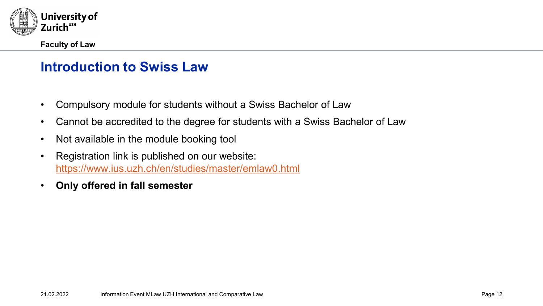

#### **Introduction to Swiss Law**

- Compulsory module for students without a Swiss Bachelor of Law
- Cannot be accredited to the degree for students with a Swiss Bachelor of Law
- Not available in the module booking tool
- Registration link is published on our website: <https://www.ius.uzh.ch/en/studies/master/emlaw0.html>
- **Only offered in fall semester**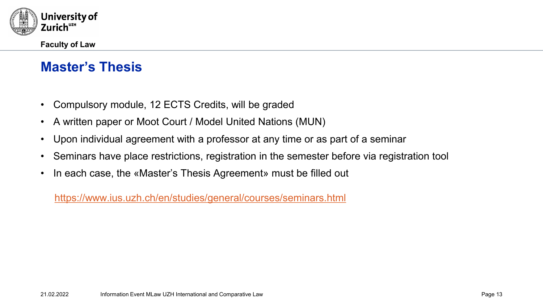

# **Master's Thesis**

- Compulsory module, 12 ECTS Credits, will be graded
- A written paper or Moot Court / Model United Nations (MUN)
- Upon individual agreement with a professor at any time or as part of a seminar
- Seminars have place restrictions, registration in the semester before via registration tool
- In each case, the «Master's Thesis Agreement» must be filled out

<https://www.ius.uzh.ch/en/studies/general/courses/seminars.html>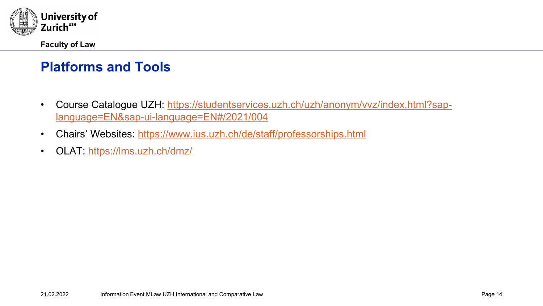

# **Platforms and Tools**

- [Course Catalogue UZH: https://studentservices.uzh.ch/uzh/anonym/vvz/index.html?sap](https://studentservices.uzh.ch/uzh/anonym/vvz/index.html?sap-language=EN&sap-ui-language=EN#/2021/004)language=EN&sap-ui-language=EN#/2021/004
- Chairs' Websites: <https://www.ius.uzh.ch/de/staff/professorships.html>
- OLAT: <https://lms.uzh.ch/dmz/>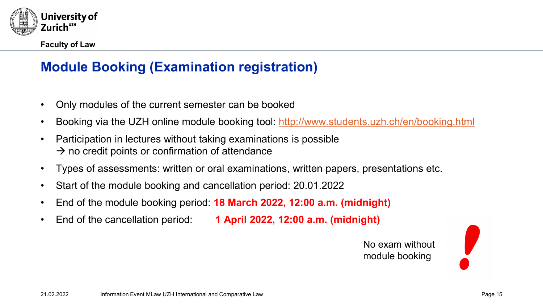

# **Module Booking (Examination registration)**

- Only modules of the current semester can be booked
- Booking via the UZH online module booking tool: <http://www.students.uzh.ch/en/booking.html>
- Participation in lectures without taking examinations is possible  $\rightarrow$  no credit points or confirmation of attendance
- Types of assessments: written or oral examinations, written papers, presentations etc.
- Start of the module booking and cancellation period: 20.01.2022
- End of the module booking period: **18 March 2022, 12:00 a.m. (midnight)**
- End of the cancellation period: **1 April 2022, 12:00 a.m. (midnight)**

No exam without module booking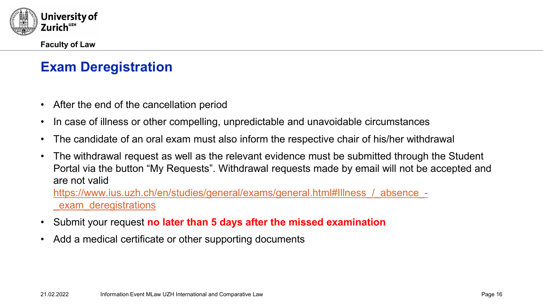

# **Exam Deregistration**

- After the end of the cancellation period
- In case of illness or other compelling, unpredictable and unavoidable circumstances
- The candidate of an oral exam must also inform the respective chair of his/her withdrawal
- The withdrawal request as well as the relevant evidence must be submitted through the Student Portal via the button "My Requests". Withdrawal requests made by email will not be accepted and are not valid

[https://www.ius.uzh.ch/en/studies/general/exams/general.html#Illness\\_/\\_absence\\_-](https://www.ius.uzh.ch/en/studies/general/exams/general.html#Illness_/_absence_-_exam_deregistrations) \_exam\_deregistrations

- Submit your request **no later than 5 days after the missed examination**
- Add a medical certificate or other supporting documents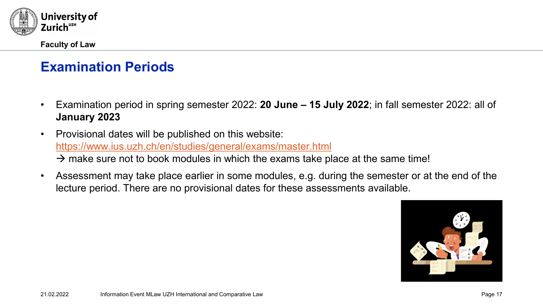

# **Examination Periods**

- Examination period in spring semester 2022: **20 June – 15 July 2022**; in fall semester 2022: all of **January 2023**
- Provisional dates will be published on this website: <https://www.ius.uzh.ch/en/studies/general/exams/master.html>  $\rightarrow$  make sure not to book modules in which the exams take place at the same time!
- Assessment may take place earlier in some modules, e.g. during the semester or at the end of the lecture period. There are no provisional dates for these assessments available.

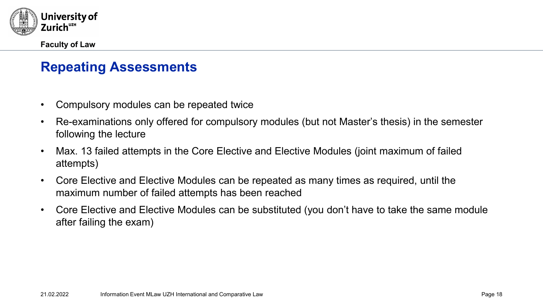

# **Repeating Assessments**

- Compulsory modules can be repeated twice
- Re-examinations only offered for compulsory modules (but not Master's thesis) in the semester following the lecture
- Max. 13 failed attempts in the Core Elective and Elective Modules (joint maximum of failed attempts)
- Core Elective and Elective Modules can be repeated as many times as required, until the maximum number of failed attempts has been reached
- Core Elective and Elective Modules can be substituted (you don't have to take the same module after failing the exam)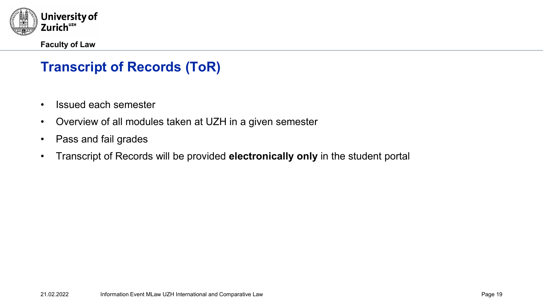

# **Transcript of Records (ToR)**

- Issued each semester
- Overview of all modules taken at UZH in a given semester
- Pass and fail grades
- Transcript of Records will be provided **electronically only** in the student portal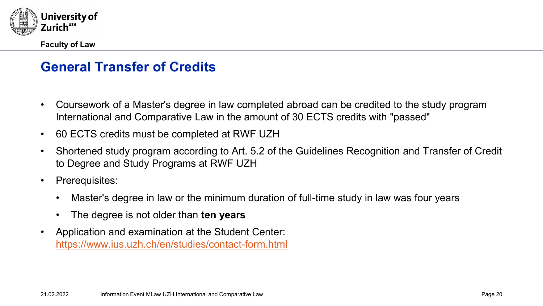

# **General Transfer of Credits**

- Coursework of a Master's degree in law completed abroad can be credited to the study program International and Comparative Law in the amount of 30 ECTS credits with "passed"
- 60 ECTS credits must be completed at RWF UZH
- Shortened study program according to Art. 5.2 of the Guidelines Recognition and Transfer of Credit to Degree and Study Programs at RWF UZH
- Prerequisites:
	- Master's degree in law or the minimum duration of full-time study in law was four years
	- The degree is not older than **ten years**
- Application and examination at the Student Center: <https://www.ius.uzh.ch/en/studies/contact-form.html>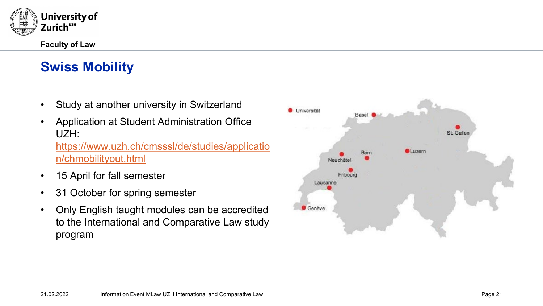

# **Swiss Mobility**

- Study at another university in Switzerland
- Application at Student Administration Office UZH: [https://www.uzh.ch/cmsssl/de/studies/applicatio](https://www.uzh.ch/cmsssl/de/studies/application/chmobilityout.html) n/chmobilityout.html
- 15 April for fall semester
- 31 October for spring semester
- Only English taught modules can be accredited to the International and Comparative Law study program

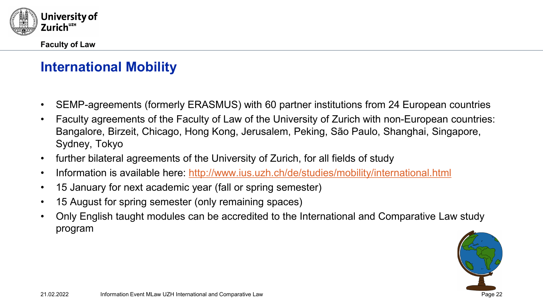

# **International Mobility**

- SEMP-agreements (formerly ERASMUS) with 60 partner institutions from 24 European countries
- Faculty agreements of the Faculty of Law of the University of Zurich with non-European countries: Bangalore, Birzeit, Chicago, Hong Kong, Jerusalem, Peking, São Paulo, Shanghai, Singapore, Sydney, Tokyo
- further bilateral agreements of the University of Zurich, for all fields of study
- Information is available here: <http://www.ius.uzh.ch/de/studies/mobility/international.html>
- 15 January for next academic year (fall or spring semester)
- 15 August for spring semester (only remaining spaces)
- Only English taught modules can be accredited to the International and Comparative Law study program

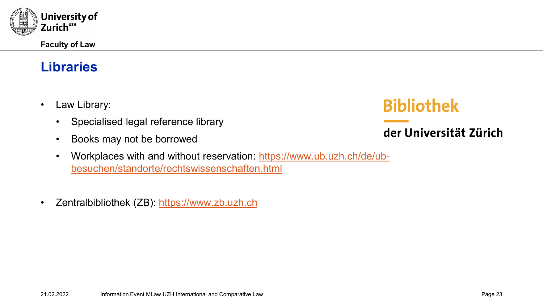

# **Libraries**

- Law Library:
	- Specialised legal reference library
	- Books may not be borrowed
	- [Workplaces with and without reservation: https://www.ub.uzh.ch/de/ub](https://www.ub.uzh.ch/de/ub-besuchen/standorte/rechtswissenschaften.html)besuchen/standorte/rechtswissenschaften.html
- Zentralbibliothek (ZB): [https://www.zb.uzh.ch](https://www.zb.uzh.ch/)

# **Bibliothek**

# der Universität Zürich